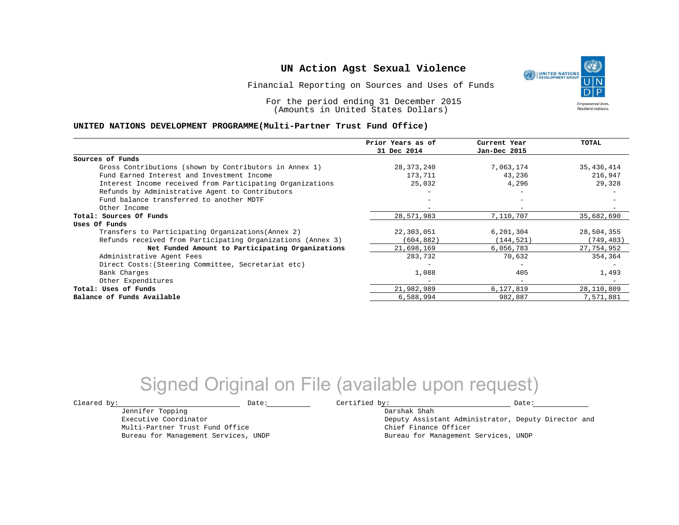Financial Reporting on Sources and Uses of Funds

For the period ending 31 December 2015 (Amounts in United States Dollars)

#### **UNITED NATIONS DEVELOPMENT PROGRAMME(Multi-Partner Trust Fund Office)**

|                                                             | Prior Years as of | Current Year             | TOTAL      |
|-------------------------------------------------------------|-------------------|--------------------------|------------|
|                                                             | 31 Dec 2014       | Jan-Dec 2015             |            |
| Sources of Funds                                            |                   |                          |            |
| Gross Contributions (shown by Contributors in Annex 1)      | 28,373,240        | 7,063,174                | 35,436,414 |
| Fund Earned Interest and Investment Income                  | 173,711           | 43,236                   | 216,947    |
| Interest Income received from Participating Organizations   | 25,032            | 4,296                    | 29,328     |
| Refunds by Administrative Agent to Contributors             |                   | $\overline{\phantom{0}}$ |            |
| Fund balance transferred to another MDTF                    |                   |                          |            |
| Other Income                                                |                   |                          |            |
| Total: Sources Of Funds                                     | 28,571,983        | 7,110,707                | 35,682,690 |
| Uses Of Funds                                               |                   |                          |            |
| Transfers to Participating Organizations (Annex 2)          | 22,303,051        | 6,201,304                | 28,504,355 |
| Refunds received from Participating Organizations (Annex 3) | (604, 882)        | (144, 521)               | (749, 403) |
| Net Funded Amount to Participating Organizations            | 21,698,169        | 6,056,783                | 27,754,952 |
| Administrative Agent Fees                                   | 283,732           | 70,632                   | 354,364    |
| Direct Costs: (Steering Committee, Secretariat etc)         |                   |                          |            |
| Bank Charges                                                | 1,088             | 405                      | 1,493      |
| Other Expenditures                                          |                   | $\overline{\phantom{0}}$ |            |
| Total: Uses of Funds                                        | 21,982,989        | 6,127,819                | 28,110,809 |
| Balance of Funds Available                                  | 6,588,994         | 982,887                  | 7,571,881  |

# Signed Original on File (available upon request)

Jennifer Topping Executive Coordinator Multi-Partner Trust Fund Office Bureau for Management Services, UNDP

 $\texttt{Cleared by:}\footnotesize \begin{minipage}{0.9\linewidth} \texttt{Date:}\footnotesize \begin{minipage}{0.9\linewidth} \texttt{Date:}\footnotesize \begin{minipage}{0.9\linewidth} \end{minipage} \end{minipage}$ Darshak Shah

Deputy Assistant Administrator, Deputy Director and Chief Finance Officer Bureau for Management Services, UNDP

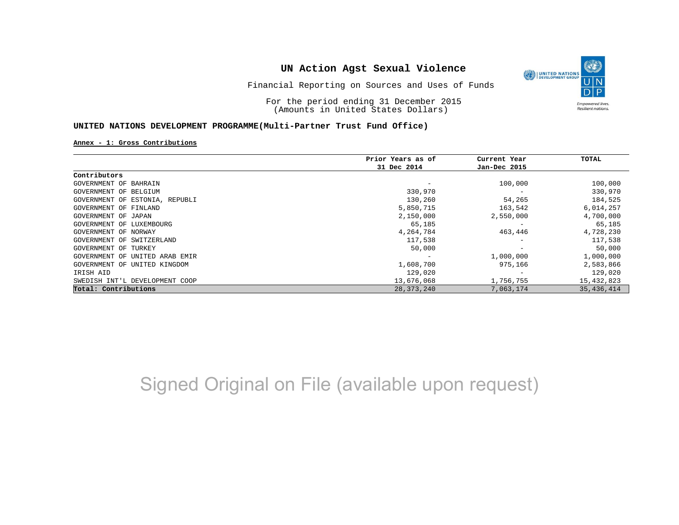Financial Reporting on Sources and Uses of Funds

For the period ending 31 December 2015 (Amounts in United States Dollars)

#### **UNITED NATIONS DEVELOPMENT PROGRAMME(Multi-Partner Trust Fund Office)**

#### **Annex - 1: Gross Contributions**

|                                | Prior Years as of | Current Year             | TOTAL      |
|--------------------------------|-------------------|--------------------------|------------|
|                                | 31 Dec 2014       | Jan-Dec 2015             |            |
| Contributors                   |                   |                          |            |
| GOVERNMENT OF BAHRAIN          |                   | 100,000                  | 100,000    |
| GOVERNMENT OF BELGIUM          | 330,970           | $\overline{\phantom{m}}$ | 330,970    |
| GOVERNMENT OF ESTONIA, REPUBLI | 130,260           | 54,265                   | 184,525    |
| GOVERNMENT OF FINLAND          | 5,850,715         | 163,542                  | 6,014,257  |
| GOVERNMENT OF JAPAN            | 2,150,000         | 2,550,000                | 4,700,000  |
| GOVERNMENT OF LUXEMBOURG       | 65,185            | $\overline{\phantom{0}}$ | 65,185     |
| GOVERNMENT OF NORWAY           | 4,264,784         | 463,446                  | 4,728,230  |
| GOVERNMENT OF SWITZERLAND      | 117,538           | $\qquad \qquad$          | 117,538    |
| GOVERNMENT OF TURKEY           | 50,000            |                          | 50,000     |
| GOVERNMENT OF UNITED ARAB EMIR |                   | 1,000,000                | 1,000,000  |
| GOVERNMENT OF UNITED KINGDOM   | 1,608,700         | 975,166                  | 2,583,866  |
| IRISH AID                      | 129,020           |                          | 129,020    |
| SWEDISH INT'L DEVELOPMENT COOP | 13,676,068        | 1,756,755                | 15,432,823 |
| Total: Contributions           | 28, 373, 240      | 7,063,174                | 35,436,414 |

# Signed Original on File (available upon request)

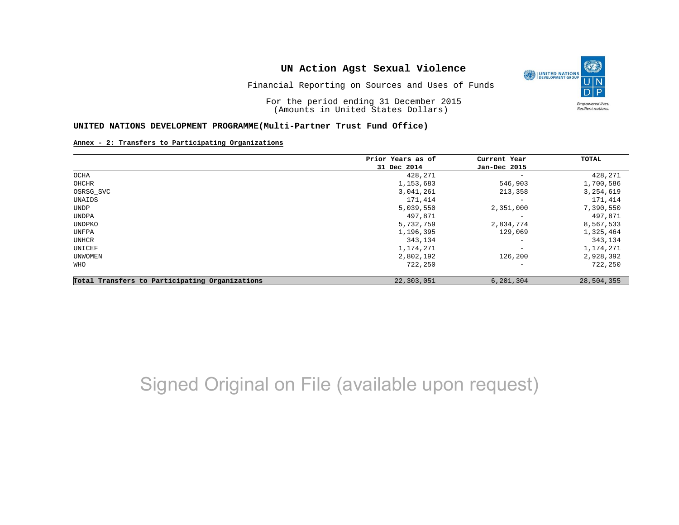

O

Resilient nations.

Financial Reporting on Sources and Uses of Funds

For the period ending 31 December 2015 (Amounts in United States Dollars)

#### **UNITED NATIONS DEVELOPMENT PROGRAMME(Multi-Partner Trust Fund Office)**

#### **Annex - 2: Transfers to Participating Organizations**

|                                                | Prior Years as of | Current Year<br>Jan-Dec 2015 | TOTAL       |
|------------------------------------------------|-------------------|------------------------------|-------------|
|                                                | 31 Dec 2014       |                              |             |
| OCHA                                           | 428,271           | $\overline{\phantom{a}}$     | 428,271     |
| OHCHR                                          | 1,153,683         | 546,903                      | 1,700,586   |
| OSRSG_SVC                                      | 3,041,261         | 213,358                      | 3, 254, 619 |
| UNAIDS                                         | 171,414           | $\qquad \qquad -$            | 171,414     |
| UNDP                                           | 5,039,550         | 2,351,000                    | 7,390,550   |
| UNDPA                                          | 497,871           | $\overline{\phantom{m}}$     | 497,871     |
| UNDPKO                                         | 5,732,759         | 2,834,774                    | 8,567,533   |
| UNFPA                                          | 1,196,395         | 129,069                      | 1,325,464   |
| UNHCR                                          | 343,134           | $\overline{\phantom{a}}$     | 343,134     |
| UNICEF                                         | 1,174,271         | $\qquad \qquad -$            | 1,174,271   |
| UNWOMEN                                        | 2,802,192         | 126,200                      | 2,928,392   |
| WHO                                            | 722,250           | $\qquad \qquad -$            | 722,250     |
| Total Transfers to Participating Organizations | 22,303,051        | 6,201,304                    | 28,504,355  |

# Signed Original on File (available upon request)